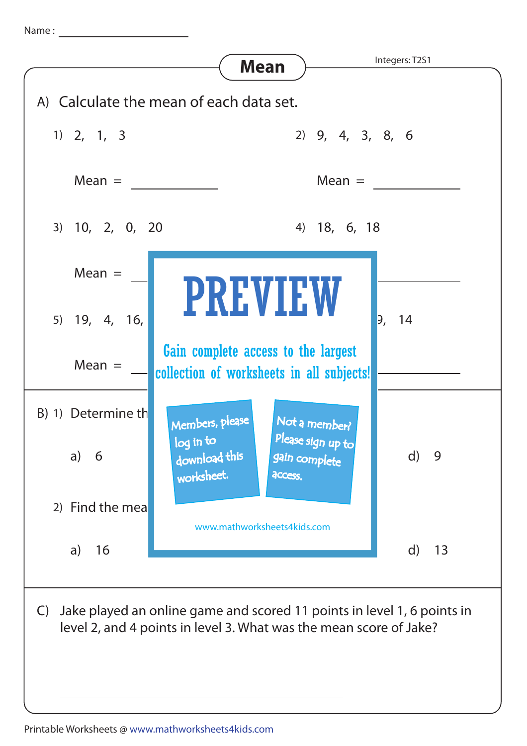Name :